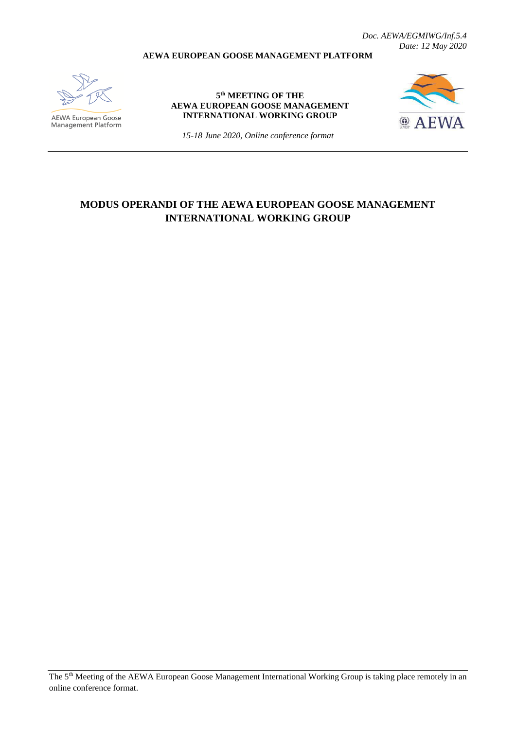*Doc. AEWA/EGMIWG/Inf.5.4 Date: 12 May 2020*

#### **AEWA EUROPEAN GOOSE MANAGEMENT PLATFORM**



**AEWA European Goose**<br>Management Platform

#### **5 th MEETING OF THE AEWA EUROPEAN GOOSE MANAGEMENT INTERNATIONAL WORKING GROUP**



*15-18 June 2020, Online conference format*

# **MODUS OPERANDI OF THE AEWA EUROPEAN GOOSE MANAGEMENT INTERNATIONAL WORKING GROUP**

The 5th Meeting of the AEWA European Goose Management International Working Group is taking place remotely in an online conference format.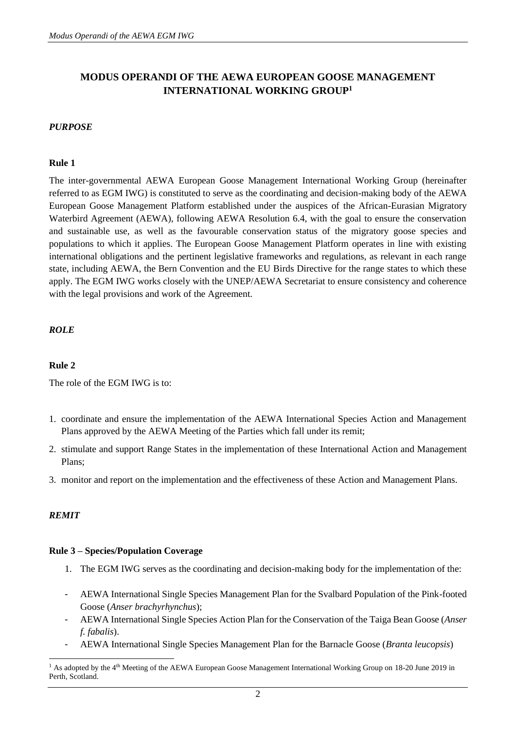# **MODUS OPERANDI OF THE AEWA EUROPEAN GOOSE MANAGEMENT INTERNATIONAL WORKING GROUP<sup>1</sup>**

## *PURPOSE*

#### **Rule 1**

The inter-governmental AEWA European Goose Management International Working Group (hereinafter referred to as EGM IWG) is constituted to serve as the coordinating and decision-making body of the AEWA European Goose Management Platform established under the auspices of the African-Eurasian Migratory Waterbird Agreement (AEWA), following AEWA Resolution 6.4, with the goal to ensure the conservation and sustainable use, as well as the favourable conservation status of the migratory goose species and populations to which it applies. The European Goose Management Platform operates in line with existing international obligations and the pertinent legislative frameworks and regulations, as relevant in each range state, including AEWA, the Bern Convention and the EU Birds Directive for the range states to which these apply. The EGM IWG works closely with the UNEP/AEWA Secretariat to ensure consistency and coherence with the legal provisions and work of the Agreement.

## *ROLE*

#### **Rule 2**

The role of the EGM IWG is to:

- 1. coordinate and ensure the implementation of the AEWA International Species Action and Management Plans approved by the AEWA Meeting of the Parties which fall under its remit;
- 2. stimulate and support Range States in the implementation of these International Action and Management Plans;
- 3. monitor and report on the implementation and the effectiveness of these Action and Management Plans.

## *REMIT*

#### **Rule 3 – Species/Population Coverage**

- 1. The EGM IWG serves as the coordinating and decision-making body for the implementation of the:
- AEWA International Single Species Management Plan for the Svalbard Population of the Pink-footed Goose (*Anser brachyrhynchus*);
- AEWA International Single Species Action Plan for the Conservation of the Taiga Bean Goose (*Anser f. fabalis*).
- AEWA International Single Species Management Plan for the Barnacle Goose (*Branta leucopsis*)

<sup>&</sup>lt;sup>1</sup> As adopted by the 4<sup>th</sup> Meeting of the AEWA European Goose Management International Working Group on 18-20 June 2019 in Perth, Scotland.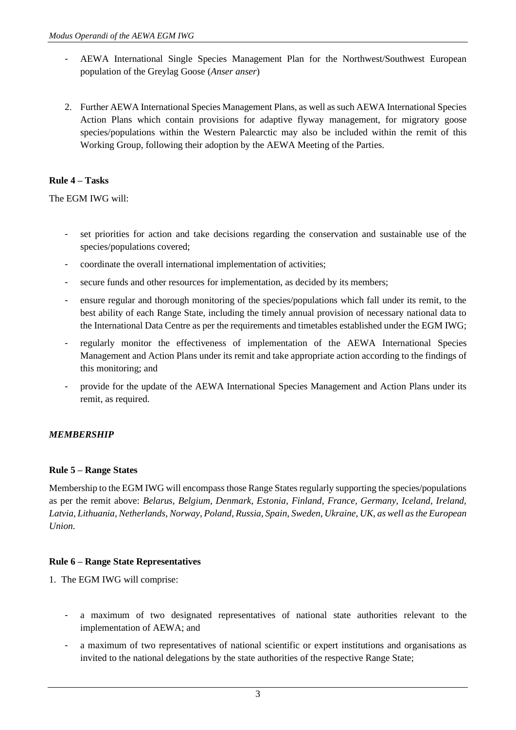- AEWA International Single Species Management Plan for the Northwest/Southwest European population of the Greylag Goose (*Anser anser*)
- 2. Further AEWA International Species Management Plans, as well as such AEWA International Species Action Plans which contain provisions for adaptive flyway management, for migratory goose species/populations within the Western Palearctic may also be included within the remit of this Working Group, following their adoption by the AEWA Meeting of the Parties.

## **Rule 4 – Tasks**

The EGM IWG will:

- set priorities for action and take decisions regarding the conservation and sustainable use of the species/populations covered;
- coordinate the overall international implementation of activities;
- secure funds and other resources for implementation, as decided by its members;
- ensure regular and thorough monitoring of the species/populations which fall under its remit, to the best ability of each Range State, including the timely annual provision of necessary national data to the International Data Centre as per the requirements and timetables established under the EGM IWG;
- regularly monitor the effectiveness of implementation of the AEWA International Species Management and Action Plans under its remit and take appropriate action according to the findings of this monitoring; and
- provide for the update of the AEWA International Species Management and Action Plans under its remit, as required.

## *MEMBERSHIP*

## **Rule 5 – Range States**

Membership to the EGM IWG will encompass those Range States regularly supporting the species/populations as per the remit above: *Belarus, Belgium, Denmark, Estonia, Finland, France, Germany, Iceland, Ireland, Latvia, Lithuania, Netherlands, Norway, Poland, Russia, Spain, Sweden, Ukraine, UK, as well as the European Union.*

## **Rule 6 – Range State Representatives**

- 1. The EGM IWG will comprise:
	- a maximum of two designated representatives of national state authorities relevant to the implementation of AEWA; and
	- a maximum of two representatives of national scientific or expert institutions and organisations as invited to the national delegations by the state authorities of the respective Range State;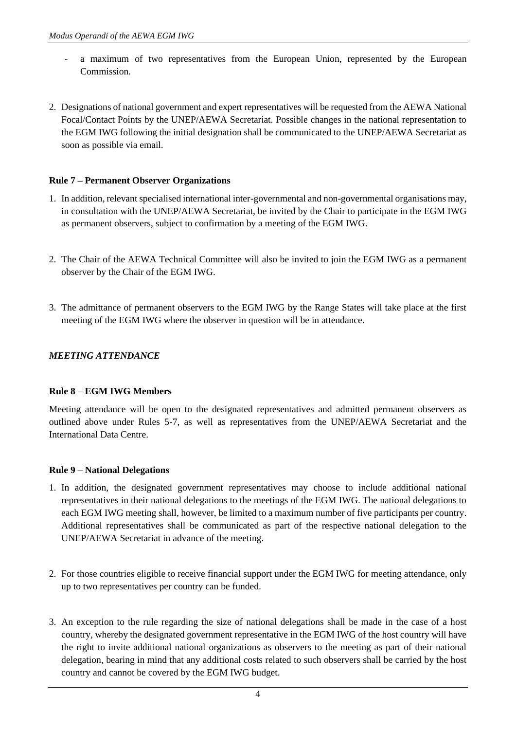- a maximum of two representatives from the European Union, represented by the European Commission.
- 2. Designations of national government and expert representatives will be requested from the AEWA National Focal/Contact Points by the UNEP/AEWA Secretariat. Possible changes in the national representation to the EGM IWG following the initial designation shall be communicated to the UNEP/AEWA Secretariat as soon as possible via email.

## **Rule 7 – Permanent Observer Organizations**

- 1. In addition, relevant specialised international inter-governmental and non-governmental organisations may, in consultation with the UNEP/AEWA Secretariat, be invited by the Chair to participate in the EGM IWG as permanent observers, subject to confirmation by a meeting of the EGM IWG.
- 2. The Chair of the AEWA Technical Committee will also be invited to join the EGM IWG as a permanent observer by the Chair of the EGM IWG.
- 3. The admittance of permanent observers to the EGM IWG by the Range States will take place at the first meeting of the EGM IWG where the observer in question will be in attendance.

## *MEETING ATTENDANCE*

## **Rule 8 – EGM IWG Members**

Meeting attendance will be open to the designated representatives and admitted permanent observers as outlined above under Rules 5-7, as well as representatives from the UNEP/AEWA Secretariat and the International Data Centre.

## **Rule 9 – National Delegations**

- 1. In addition, the designated government representatives may choose to include additional national representatives in their national delegations to the meetings of the EGM IWG. The national delegations to each EGM IWG meeting shall, however, be limited to a maximum number of five participants per country. Additional representatives shall be communicated as part of the respective national delegation to the UNEP/AEWA Secretariat in advance of the meeting.
- 2. For those countries eligible to receive financial support under the EGM IWG for meeting attendance, only up to two representatives per country can be funded.
- 3. An exception to the rule regarding the size of national delegations shall be made in the case of a host country, whereby the designated government representative in the EGM IWG of the host country will have the right to invite additional national organizations as observers to the meeting as part of their national delegation, bearing in mind that any additional costs related to such observers shall be carried by the host country and cannot be covered by the EGM IWG budget.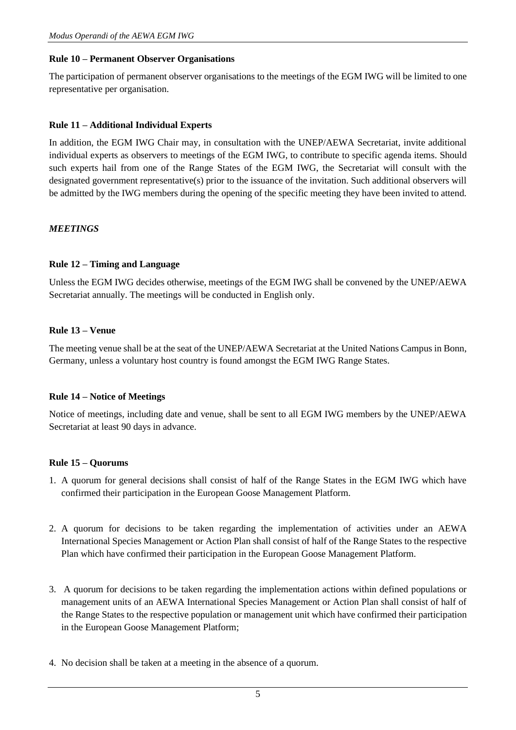## **Rule 10 – Permanent Observer Organisations**

The participation of permanent observer organisations to the meetings of the EGM IWG will be limited to one representative per organisation.

## **Rule 11 – Additional Individual Experts**

In addition, the EGM IWG Chair may, in consultation with the UNEP/AEWA Secretariat, invite additional individual experts as observers to meetings of the EGM IWG, to contribute to specific agenda items. Should such experts hail from one of the Range States of the EGM IWG, the Secretariat will consult with the designated government representative(s) prior to the issuance of the invitation. Such additional observers will be admitted by the IWG members during the opening of the specific meeting they have been invited to attend.

#### *MEETINGS*

#### **Rule 12 – Timing and Language**

Unless the EGM IWG decides otherwise, meetings of the EGM IWG shall be convened by the UNEP/AEWA Secretariat annually. The meetings will be conducted in English only.

#### **Rule 13 – Venue**

The meeting venue shall be at the seat of the UNEP/AEWA Secretariat at the United Nations Campus in Bonn, Germany, unless a voluntary host country is found amongst the EGM IWG Range States.

#### **Rule 14 – Notice of Meetings**

Notice of meetings, including date and venue, shall be sent to all EGM IWG members by the UNEP/AEWA Secretariat at least 90 days in advance.

#### **Rule 15 – Quorums**

- 1. A quorum for general decisions shall consist of half of the Range States in the EGM IWG which have confirmed their participation in the European Goose Management Platform.
- 2. A quorum for decisions to be taken regarding the implementation of activities under an AEWA International Species Management or Action Plan shall consist of half of the Range States to the respective Plan which have confirmed their participation in the European Goose Management Platform.
- 3. A quorum for decisions to be taken regarding the implementation actions within defined populations or management units of an AEWA International Species Management or Action Plan shall consist of half of the Range States to the respective population or management unit which have confirmed their participation in the European Goose Management Platform;
- 4. No decision shall be taken at a meeting in the absence of a quorum.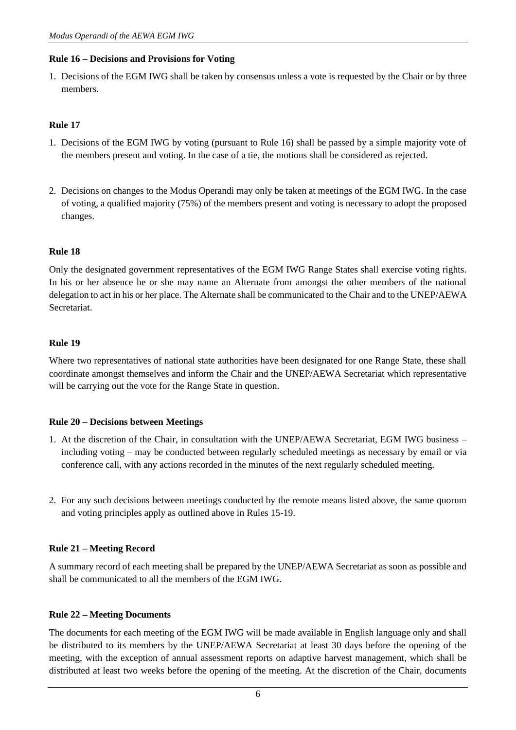## **Rule 16 – Decisions and Provisions for Voting**

1. Decisions of the EGM IWG shall be taken by consensus unless a vote is requested by the Chair or by three members.

## **Rule 17**

- 1. Decisions of the EGM IWG by voting (pursuant to Rule 16) shall be passed by a simple majority vote of the members present and voting. In the case of a tie, the motions shall be considered as rejected.
- 2. Decisions on changes to the Modus Operandi may only be taken at meetings of the EGM IWG. In the case of voting, a qualified majority (75%) of the members present and voting is necessary to adopt the proposed changes.

## **Rule 18**

Only the designated government representatives of the EGM IWG Range States shall exercise voting rights. In his or her absence he or she may name an Alternate from amongst the other members of the national delegation to act in his or her place. The Alternate shall be communicated to the Chair and to the UNEP/AEWA **Secretariat** 

## **Rule 19**

Where two representatives of national state authorities have been designated for one Range State, these shall coordinate amongst themselves and inform the Chair and the UNEP/AEWA Secretariat which representative will be carrying out the vote for the Range State in question.

## **Rule 20 – Decisions between Meetings**

- 1. At the discretion of the Chair, in consultation with the UNEP/AEWA Secretariat, EGM IWG business including voting – may be conducted between regularly scheduled meetings as necessary by email or via conference call, with any actions recorded in the minutes of the next regularly scheduled meeting.
- 2. For any such decisions between meetings conducted by the remote means listed above, the same quorum and voting principles apply as outlined above in Rules 15-19.

## **Rule 21 – Meeting Record**

A summary record of each meeting shall be prepared by the UNEP/AEWA Secretariat as soon as possible and shall be communicated to all the members of the EGM IWG.

## **Rule 22 – Meeting Documents**

The documents for each meeting of the EGM IWG will be made available in English language only and shall be distributed to its members by the UNEP/AEWA Secretariat at least 30 days before the opening of the meeting, with the exception of annual assessment reports on adaptive harvest management, which shall be distributed at least two weeks before the opening of the meeting. At the discretion of the Chair, documents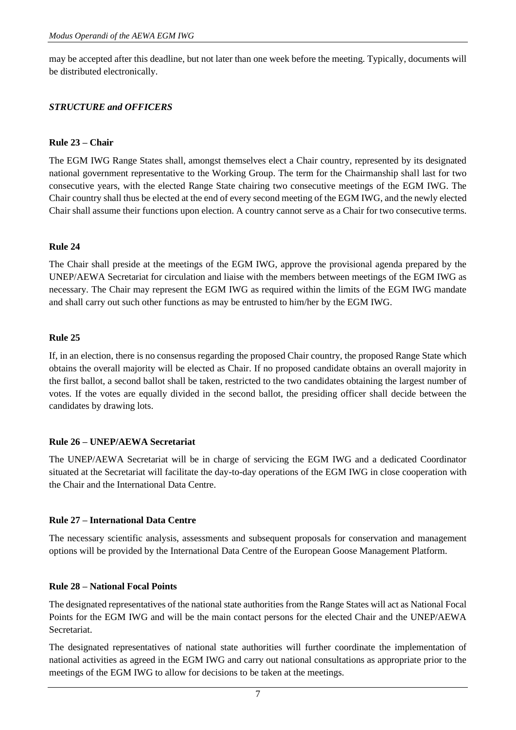may be accepted after this deadline, but not later than one week before the meeting. Typically, documents will be distributed electronically.

## *STRUCTURE and OFFICERS*

## **Rule 23 – Chair**

The EGM IWG Range States shall, amongst themselves elect a Chair country, represented by its designated national government representative to the Working Group. The term for the Chairmanship shall last for two consecutive years, with the elected Range State chairing two consecutive meetings of the EGM IWG. The Chair country shall thus be elected at the end of every second meeting of the EGM IWG, and the newly elected Chair shall assume their functions upon election. A country cannot serve as a Chair for two consecutive terms.

## **Rule 24**

The Chair shall preside at the meetings of the EGM IWG, approve the provisional agenda prepared by the UNEP/AEWA Secretariat for circulation and liaise with the members between meetings of the EGM IWG as necessary. The Chair may represent the EGM IWG as required within the limits of the EGM IWG mandate and shall carry out such other functions as may be entrusted to him/her by the EGM IWG.

## **Rule 25**

If, in an election, there is no consensus regarding the proposed Chair country, the proposed Range State which obtains the overall majority will be elected as Chair. If no proposed candidate obtains an overall majority in the first ballot, a second ballot shall be taken, restricted to the two candidates obtaining the largest number of votes. If the votes are equally divided in the second ballot, the presiding officer shall decide between the candidates by drawing lots.

## **Rule 26 – UNEP/AEWA Secretariat**

The UNEP/AEWA Secretariat will be in charge of servicing the EGM IWG and a dedicated Coordinator situated at the Secretariat will facilitate the day-to-day operations of the EGM IWG in close cooperation with the Chair and the International Data Centre.

## **Rule 27 – International Data Centre**

The necessary scientific analysis, assessments and subsequent proposals for conservation and management options will be provided by the International Data Centre of the European Goose Management Platform.

## **Rule 28 – National Focal Points**

The designated representatives of the national state authorities from the Range States will act as National Focal Points for the EGM IWG and will be the main contact persons for the elected Chair and the UNEP/AEWA Secretariat.

The designated representatives of national state authorities will further coordinate the implementation of national activities as agreed in the EGM IWG and carry out national consultations as appropriate prior to the meetings of the EGM IWG to allow for decisions to be taken at the meetings.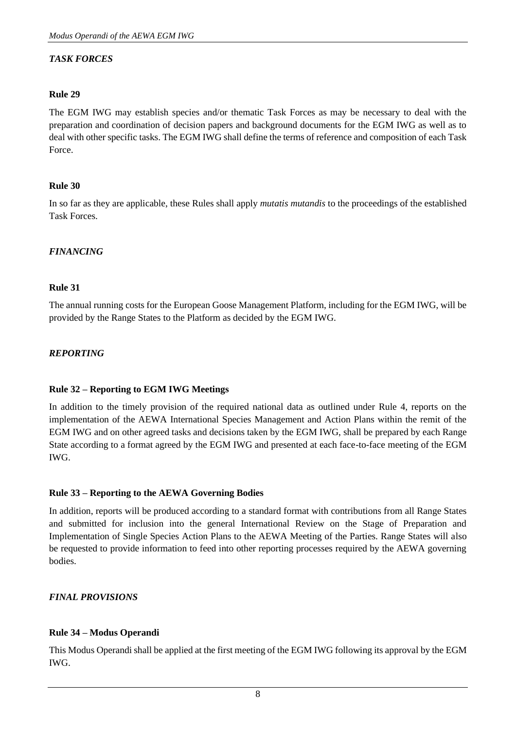## *TASK FORCES*

## **Rule 29**

The EGM IWG may establish species and/or thematic Task Forces as may be necessary to deal with the preparation and coordination of decision papers and background documents for the EGM IWG as well as to deal with other specific tasks. The EGM IWG shall define the terms of reference and composition of each Task Force.

## **Rule 30**

In so far as they are applicable, these Rules shall apply *mutatis mutandis* to the proceedings of the established Task Forces.

## *FINANCING*

## **Rule 31**

The annual running costs for the European Goose Management Platform, including for the EGM IWG, will be provided by the Range States to the Platform as decided by the EGM IWG.

## *REPORTING*

## **Rule 32 – Reporting to EGM IWG Meetings**

In addition to the timely provision of the required national data as outlined under Rule 4, reports on the implementation of the AEWA International Species Management and Action Plans within the remit of the EGM IWG and on other agreed tasks and decisions taken by the EGM IWG, shall be prepared by each Range State according to a format agreed by the EGM IWG and presented at each face-to-face meeting of the EGM IWG.

## **Rule 33 – Reporting to the AEWA Governing Bodies**

In addition, reports will be produced according to a standard format with contributions from all Range States and submitted for inclusion into the general International Review on the Stage of Preparation and Implementation of Single Species Action Plans to the AEWA Meeting of the Parties. Range States will also be requested to provide information to feed into other reporting processes required by the AEWA governing bodies.

## *FINAL PROVISIONS*

## **Rule 34 – Modus Operandi**

This Modus Operandi shall be applied at the first meeting of the EGM IWG following its approval by the EGM IWG.